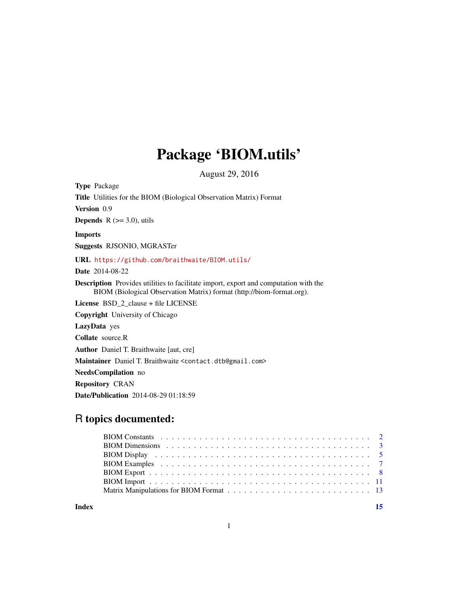## Package 'BIOM.utils'

August 29, 2016

<span id="page-0-0"></span>Type Package Title Utilities for the BIOM (Biological Observation Matrix) Format Version 0.9 **Depends**  $R$  ( $> = 3.0$ ), utils Imports Suggests RJSONIO, MGRASTer URL <https://github.com/braithwaite/BIOM.utils/> Date 2014-08-22 Description Provides utilities to facilitate import, export and computation with the BIOM (Biological Observation Matrix) format (http://biom-format.org). License BSD\_2\_clause + file LICENSE Copyright University of Chicago LazyData yes Collate source.R Author Daniel T. Braithwaite [aut, cre] Maintainer Daniel T. Braithwaite <contact.dtb@gmail.com> NeedsCompilation no Repository CRAN Date/Publication 2014-08-29 01:18:59

## R topics documented:

**Index** [15](#page-14-0)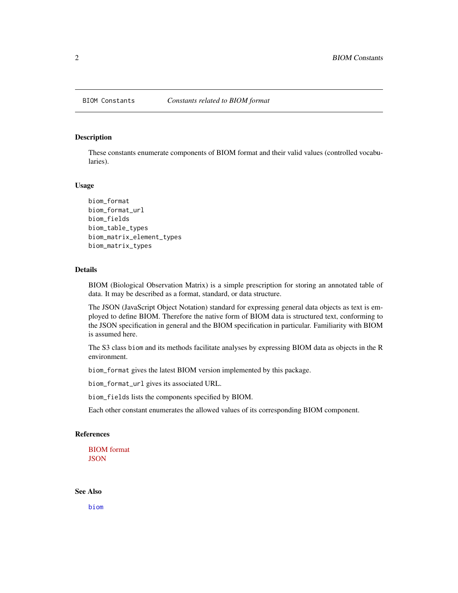<span id="page-1-0"></span>

#### Description

These constants enumerate components of BIOM format and their valid values (controlled vocabularies).

#### Usage

```
biom_format
biom_format_url
biom_fields
biom_table_types
biom_matrix_element_types
biom_matrix_types
```
## Details

BIOM (Biological Observation Matrix) is a simple prescription for storing an annotated table of data. It may be described as a format, standard, or data structure.

The JSON (JavaScript Object Notation) standard for expressing general data objects as text is employed to define BIOM. Therefore the native form of BIOM data is structured text, conforming to the JSON specification in general and the BIOM specification in particular. Familiarity with BIOM is assumed here.

The S3 class biom and its methods facilitate analyses by expressing BIOM data as objects in the R environment.

biom\_format gives the latest BIOM version implemented by this package.

biom\_format\_url gives its associated URL.

biom\_fields lists the components specified by BIOM.

Each other constant enumerates the allowed values of its corresponding BIOM component.

#### References

[BIOM format](http://wwww.biom-format.org) **[JSON](http://wwww.json.org)** 

See Also

[biom](#page-10-1)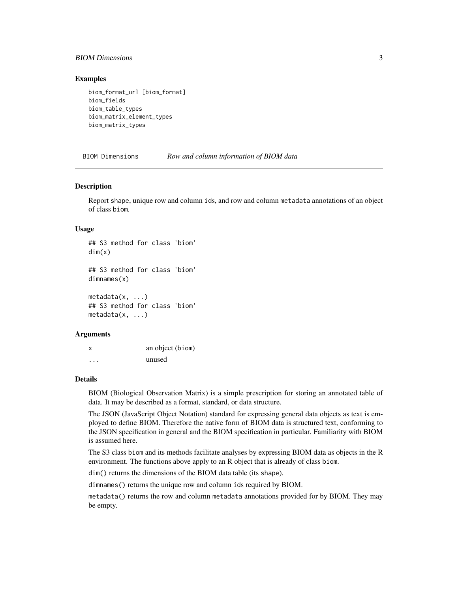## <span id="page-2-0"></span>BIOM Dimensions 3

## Examples

biom\_format\_url [biom\_format] biom\_fields biom\_table\_types biom\_matrix\_element\_types biom\_matrix\_types

BIOM Dimensions *Row and column information of BIOM data*

#### <span id="page-2-1"></span>**Description**

Report shape, unique row and column ids, and row and column metadata annotations of an object of class biom.

#### Usage

## S3 method for class 'biom' dim(x) ## S3 method for class 'biom'

dimnames(x)

metadata(x, ...) ## S3 method for class 'biom' metadata(x, ...)

#### Arguments

x an object (biom) ... unused

#### Details

BIOM (Biological Observation Matrix) is a simple prescription for storing an annotated table of data. It may be described as a format, standard, or data structure.

The JSON (JavaScript Object Notation) standard for expressing general data objects as text is employed to define BIOM. Therefore the native form of BIOM data is structured text, conforming to the JSON specification in general and the BIOM specification in particular. Familiarity with BIOM is assumed here.

The S3 class biom and its methods facilitate analyses by expressing BIOM data as objects in the R environment. The functions above apply to an R object that is already of class biom.

dim() returns the dimensions of the BIOM data table (its shape).

dimnames() returns the unique row and column ids required by BIOM.

metadata() returns the row and column metadata annotations provided for by BIOM. They may be empty.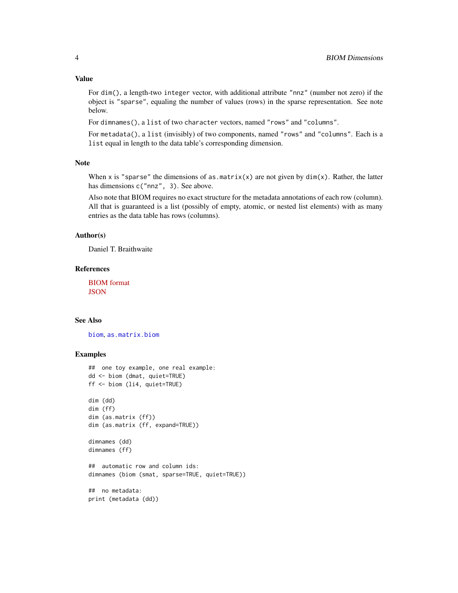#### <span id="page-3-0"></span>Value

For dim(), a length-two integer vector, with additional attribute "nnz" (number not zero) if the object is "sparse", equaling the number of values (rows) in the sparse representation. See note below.

For dimnames(), a list of two character vectors, named "rows" and "columns".

For metadata(), a list (invisibly) of two components, named "rows" and "columns". Each is a list equal in length to the data table's corresponding dimension.

## Note

When x is "sparse" the dimensions of as.matrix(x) are not given by  $dim(x)$ . Rather, the latter has dimensions c("nnz", 3). See above.

Also note that BIOM requires no exact structure for the metadata annotations of each row (column). All that is guaranteed is a list (possibly of empty, atomic, or nested list elements) with as many entries as the data table has rows (columns).

## Author(s)

Daniel T. Braithwaite

#### References

[BIOM format](http://wwww.biom-format.org) **[JSON](http://wwww.json.org)** 

## See Also

[biom](#page-10-1), [as.matrix.biom](#page-7-1)

```
## one toy example, one real example:
dd <- biom (dmat, quiet=TRUE)
ff <- biom (li4, quiet=TRUE)
dim (dd)
dim (ff)
dim (as.matrix (ff))
dim (as.matrix (ff, expand=TRUE))
dimnames (dd)
dimnames (ff)
## automatic row and column ids:
dimnames (biom (smat, sparse=TRUE, quiet=TRUE))
## no metadata:
print (metadata (dd))
```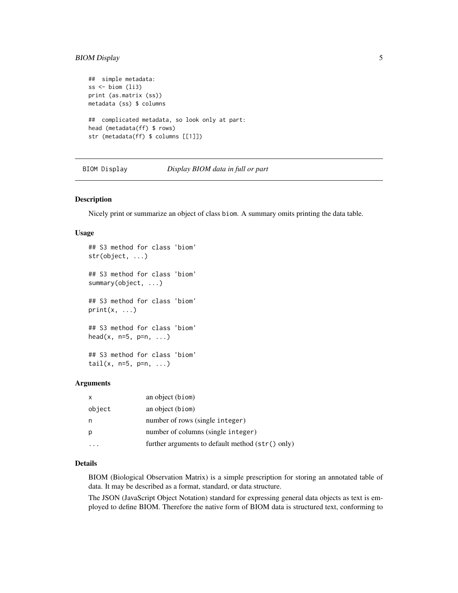## <span id="page-4-0"></span>BIOM Display 5

```
## simple metadata:
ss \le biom (li3)
print (as.matrix (ss))
metadata (ss) $ columns
## complicated metadata, so look only at part:
head (metadata(ff) $ rows)
str (metadata(ff) $ columns [[1]])
```
BIOM Display *Display BIOM data in full or part*

#### <span id="page-4-1"></span>Description

Nicely print or summarize an object of class biom. A summary omits printing the data table.

#### Usage

```
## S3 method for class 'biom'
str(object, ...)
## S3 method for class 'biom'
summary(object, ...)
## S3 method for class 'biom'
print(x, \ldots)## S3 method for class 'biom'
head(x, n=5, p=n, ...)
## S3 method for class 'biom'
tail(x, n=5, p=n, ...)
```
## Arguments

| $\mathsf{x}$ | an object (biom)                                   |
|--------------|----------------------------------------------------|
| object       | an object (biom)                                   |
| n            | number of rows (single integer)                    |
| p            | number of columns (single integer)                 |
|              | further arguments to default method $(str()$ only) |

## Details

BIOM (Biological Observation Matrix) is a simple prescription for storing an annotated table of data. It may be described as a format, standard, or data structure.

The JSON (JavaScript Object Notation) standard for expressing general data objects as text is employed to define BIOM. Therefore the native form of BIOM data is structured text, conforming to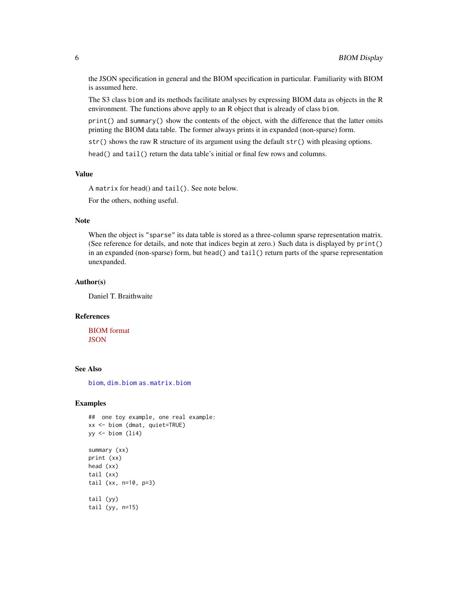the JSON specification in general and the BIOM specification in particular. Familiarity with BIOM is assumed here.

The S3 class biom and its methods facilitate analyses by expressing BIOM data as objects in the R environment. The functions above apply to an R object that is already of class biom.

 $print()$  and summary() show the contents of the object, with the difference that the latter omits printing the BIOM data table. The former always prints it in expanded (non-sparse) form.

str() shows the raw R structure of its argument using the default str() with pleasing options.

head() and tail() return the data table's initial or final few rows and columns.

## Value

A matrix for head() and tail(). See note below.

For the others, nothing useful.

#### Note

When the object is "sparse" its data table is stored as a three-column sparse representation matrix. (See reference for details, and note that indices begin at zero.) Such data is displayed by print() in an expanded (non-sparse) form, but head() and tail() return parts of the sparse representation unexpanded.

## Author(s)

Daniel T. Braithwaite

## References

[BIOM format](http://wwww.biom-format.org) **[JSON](http://wwww.json.org)** 

## See Also

[biom](#page-10-1), [dim.biom](#page-2-1) [as.matrix.biom](#page-7-1)

```
## one toy example, one real example:
xx <- biom (dmat, quiet=TRUE)
yy <- biom (li4)
summary (xx)
print (xx)
head (xx)
tail (xx)
tail (xx, n=10, p=3)
tail (yy)
tail (yy, n=15)
```
<span id="page-5-0"></span>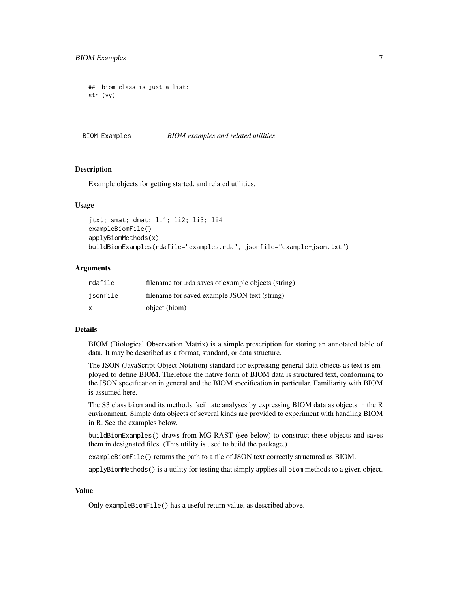```
## biom class is just a list:
str (yy)
```
BIOM Examples *BIOM examples and related utilities*

#### Description

Example objects for getting started, and related utilities.

#### Usage

```
jtxt; smat; dmat; li1; li2; li3; li4
exampleBiomFile()
applyBiomMethods(x)
buildBiomExamples(rdafile="examples.rda", jsonfile="example-json.txt")
```
## Arguments

| rdafile  | filename for .rda saves of example objects (string) |
|----------|-----------------------------------------------------|
| isonfile | filename for saved example JSON text (string)       |
| X        | object (biom)                                       |

## Details

BIOM (Biological Observation Matrix) is a simple prescription for storing an annotated table of data. It may be described as a format, standard, or data structure.

The JSON (JavaScript Object Notation) standard for expressing general data objects as text is employed to define BIOM. Therefore the native form of BIOM data is structured text, conforming to the JSON specification in general and the BIOM specification in particular. Familiarity with BIOM is assumed here.

The S3 class biom and its methods facilitate analyses by expressing BIOM data as objects in the R environment. Simple data objects of several kinds are provided to experiment with handling BIOM in R. See the examples below.

buildBiomExamples() draws from MG-RAST (see below) to construct these objects and saves them in designated files. (This utility is used to build the package.)

exampleBiomFile() returns the path to a file of JSON text correctly structured as BIOM.

applyBiomMethods() is a utility for testing that simply applies all biom methods to a given object.

## Value

Only exampleBiomFile() has a useful return value, as described above.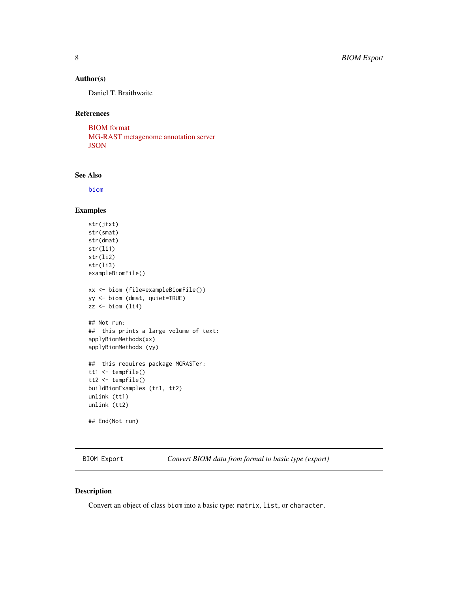## <span id="page-7-0"></span>Author(s)

Daniel T. Braithwaite

## References

[BIOM format](http://wwww.biom-format.org) [MG-RAST metagenome annotation server](http://metagenomics.anl.gov) **[JSON](http://wwww.json.org)** 

## See Also

[biom](#page-10-1)

## Examples

```
str(jtxt)
str(smat)
str(dmat)
str(li1)
str(li2)
str(li3)
exampleBiomFile()
xx <- biom (file=exampleBiomFile())
yy <- biom (dmat, quiet=TRUE)
zz \le- biom (li4)
## Not run:
## this prints a large volume of text:
applyBiomMethods(xx)
applyBiomMethods (yy)
## this requires package MGRASTer:
tt1 <- tempfile()
tt2 <- tempfile()
buildBiomExamples (tt1, tt2)
unlink (tt1)
unlink (tt2)
## End(Not run)
```
BIOM Export *Convert BIOM data from formal to basic type (export)*

## <span id="page-7-1"></span>Description

Convert an object of class biom into a basic type: matrix, list, or character.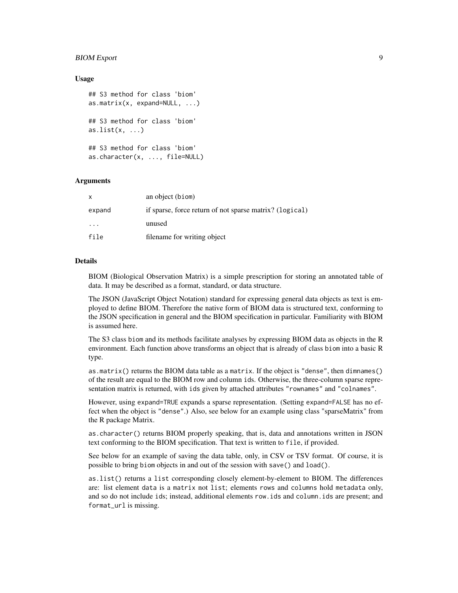## BIOM Export 9

## Usage

```
## S3 method for class 'biom'
as.matrix(x, expand=NULL, ...)
## S3 method for class 'biom'
as.list(x, \ldots)## S3 method for class 'biom'
as.character(x, ..., file=NULL)
```
## Arguments

|                         | an object (biom)                                        |
|-------------------------|---------------------------------------------------------|
| expand                  | if sparse, force return of not sparse matrix? (logical) |
| $\cdot$ $\cdot$ $\cdot$ | unused                                                  |
| file                    | filename for writing object                             |

## Details

BIOM (Biological Observation Matrix) is a simple prescription for storing an annotated table of data. It may be described as a format, standard, or data structure.

The JSON (JavaScript Object Notation) standard for expressing general data objects as text is employed to define BIOM. Therefore the native form of BIOM data is structured text, conforming to the JSON specification in general and the BIOM specification in particular. Familiarity with BIOM is assumed here.

The S3 class biom and its methods facilitate analyses by expressing BIOM data as objects in the R environment. Each function above transforms an object that is already of class biom into a basic R type.

as.matrix() returns the BIOM data table as a matrix. If the object is "dense", then dimnames() of the result are equal to the BIOM row and column ids. Otherwise, the three-column sparse representation matrix is returned, with ids given by attached attributes "rownames" and "colnames".

However, using expand=TRUE expands a sparse representation. (Setting expand=FALSE has no effect when the object is "dense".) Also, see below for an example using class "sparseMatrix" from the R package Matrix.

as.character() returns BIOM properly speaking, that is, data and annotations written in JSON text conforming to the BIOM specification. That text is written to file, if provided.

See below for an example of saving the data table, only, in CSV or TSV format. Of course, it is possible to bring biom objects in and out of the session with save() and load().

as.list() returns a list corresponding closely element-by-element to BIOM. The differences are: list element data is a matrix not list; elements rows and columns hold metadata only, and so do not include ids; instead, additional elements row.ids and column.ids are present; and format\_url is missing.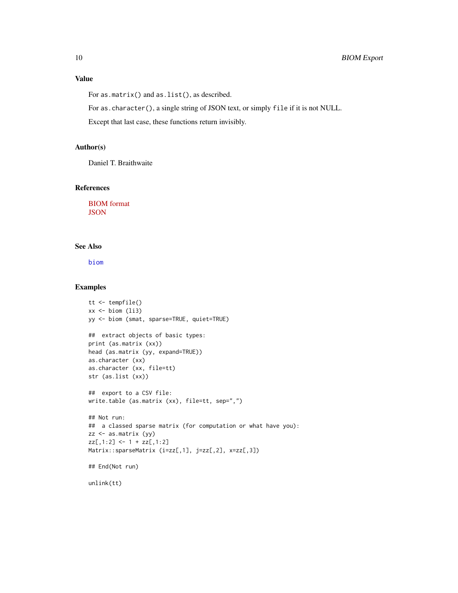## <span id="page-9-0"></span>Value

For as.matrix() and as.list(), as described.

For as.character(), a single string of JSON text, or simply file if it is not NULL.

Except that last case, these functions return invisibly.

## Author(s)

Daniel T. Braithwaite

#### References

[BIOM format](http://wwww.biom-format.org) **[JSON](http://wwww.json.org)** 

## See Also

[biom](#page-10-1)

#### Examples

```
tt <- tempfile()
xx \leftarrow biom (li3)
yy <- biom (smat, sparse=TRUE, quiet=TRUE)
## extract objects of basic types:
print (as.matrix (xx))
head (as.matrix (yy, expand=TRUE))
as.character (xx)
as.character (xx, file=tt)
str (as.list (xx))
## export to a CSV file:
write.table (as.matrix (xx), file=tt, sep=",")
## Not run:
## a classed sparse matrix (for computation or what have you):
zz <- as.matrix (yy)
zz[, 1:2] <- 1 + zz[, 1:2]Matrix::sparseMatrix (i=zz[,1], j=zz[,2], x=zz[,3])
## End(Not run)
```
unlink(tt)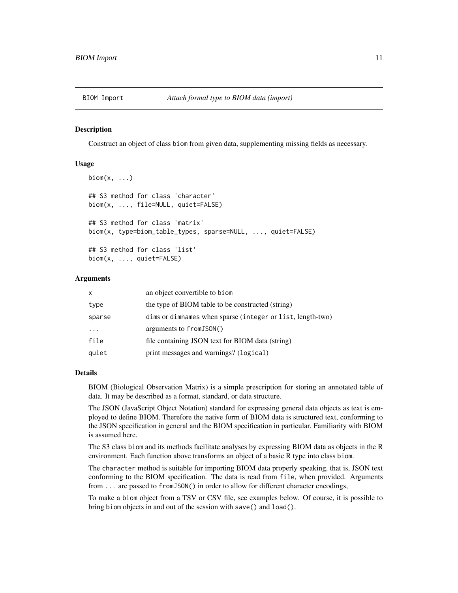<span id="page-10-0"></span>

#### <span id="page-10-1"></span>Description

Construct an object of class biom from given data, supplementing missing fields as necessary.

## Usage

```
\text{biom}(x, \ldots)## S3 method for class 'character'
biom(x, ..., file=NULL, quiet=FALSE)
## S3 method for class 'matrix'
biom(x, type=biom_table_types, sparse=NULL, ..., quiet=FALSE)
## S3 method for class 'list'
biom(x, ..., quiet=FALSE)
```
#### Arguments

| $\mathsf{x}$ | an object convertible to biom                              |
|--------------|------------------------------------------------------------|
| type         | the type of BIOM table to be constructed (string)          |
| sparse       | dims or dimnames when sparse (integer or list, length-two) |
|              | arguments to from JSON()                                   |
| file         | file containing JSON text for BIOM data (string)           |
| quiet        | print messages and warnings? (logical)                     |

#### Details

BIOM (Biological Observation Matrix) is a simple prescription for storing an annotated table of data. It may be described as a format, standard, or data structure.

The JSON (JavaScript Object Notation) standard for expressing general data objects as text is employed to define BIOM. Therefore the native form of BIOM data is structured text, conforming to the JSON specification in general and the BIOM specification in particular. Familiarity with BIOM is assumed here.

The S3 class biom and its methods facilitate analyses by expressing BIOM data as objects in the R environment. Each function above transforms an object of a basic R type into class biom.

The character method is suitable for importing BIOM data properly speaking, that is, JSON text conforming to the BIOM specification. The data is read from file, when provided. Arguments from ... are passed to fromJSON() in order to allow for different character encodings,

To make a biom object from a TSV or CSV file, see examples below. Of course, it is possible to bring biom objects in and out of the session with save() and load().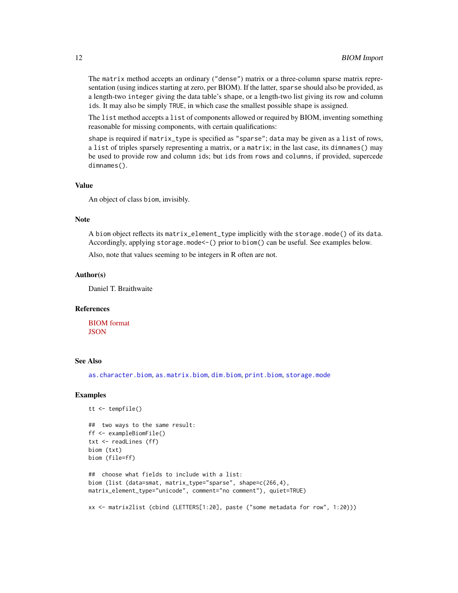The matrix method accepts an ordinary ("dense") matrix or a three-column sparse matrix representation (using indices starting at zero, per BIOM). If the latter, sparse should also be provided, as a length-two integer giving the data table's shape, or a length-two list giving its row and column ids. It may also be simply TRUE, in which case the smallest possible shape is assigned.

The list method accepts a list of components allowed or required by BIOM, inventing something reasonable for missing components, with certain qualifications:

shape is required if matrix\_type is specified as "sparse"; data may be given as a list of rows, a list of triples sparsely representing a matrix, or a matrix; in the last case, its dimnames() may be used to provide row and column ids; but ids from rows and columns, if provided, supercede dimnames().

#### Value

An object of class biom, invisibly.

#### **Note**

A biom object reflects its matrix\_element\_type implicitly with the storage.mode() of its data. Accordingly, applying storage.mode<-() prior to biom() can be useful. See examples below.

Also, note that values seeming to be integers in R often are not.

## Author(s)

Daniel T. Braithwaite

## References

[BIOM format](http://wwww.biom-format.org) **[JSON](http://wwww.json.org)** 

#### See Also

[as.character.biom](#page-7-1), [as.matrix.biom](#page-7-1), [dim.biom](#page-2-1), [print.biom](#page-4-1), [storage.mode](#page-0-0)

```
tt <- tempfile()
## two ways to the same result:
ff <- exampleBiomFile()
txt <- readLines (ff)
biom (txt)
biom (file=ff)
## choose what fields to include with a list:
biom (list (data=smat, matrix_type="sparse", shape=c(266,4),
matrix_element_type="unicode", comment="no comment"), quiet=TRUE)
xx <- matrix2list (cbind (LETTERS[1:20], paste ("some metadata for row", 1:20)))
```
<span id="page-11-0"></span>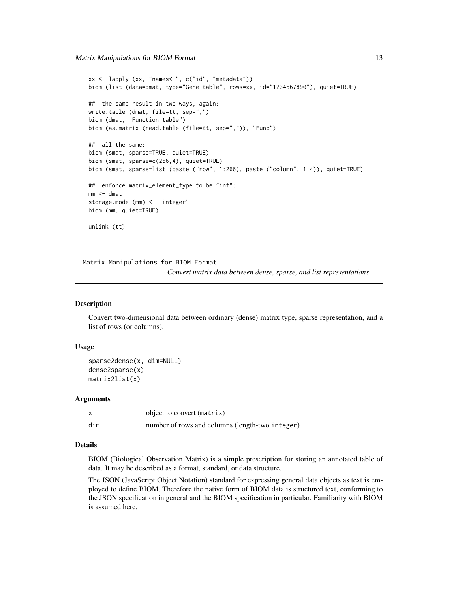```
xx <- lapply (xx, "names<-", c("id", "metadata"))
biom (list (data=dmat, type="Gene table", rows=xx, id="1234567890"), quiet=TRUE)
## the same result in two ways, again:
write.table (dmat, file=tt, sep=",")
biom (dmat, "Function table")
biom (as.matrix (read.table (file=tt, sep=",")), "Func")
## all the same:
biom (smat, sparse=TRUE, quiet=TRUE)
biom (smat, sparse=c(266,4), quiet=TRUE)
biom (smat, sparse=list (paste ("row", 1:266), paste ("column", 1:4)), quiet=TRUE)
## enforce matrix_element_type to be "int":
mm <- dmat
storage.mode (mm) <- "integer"
biom (mm, quiet=TRUE)
unlink (tt)
```
Matrix Manipulations for BIOM Format *Convert matrix data between dense, sparse, and list representations*

#### **Description**

Convert two-dimensional data between ordinary (dense) matrix type, sparse representation, and a list of rows (or columns).

## Usage

```
sparse2dense(x, dim=NULL)
dense2sparse(x)
matrix2list(x)
```
#### Arguments

|     | object to convert (matrix)                      |
|-----|-------------------------------------------------|
| dim | number of rows and columns (length-two integer) |

## Details

BIOM (Biological Observation Matrix) is a simple prescription for storing an annotated table of data. It may be described as a format, standard, or data structure.

The JSON (JavaScript Object Notation) standard for expressing general data objects as text is employed to define BIOM. Therefore the native form of BIOM data is structured text, conforming to the JSON specification in general and the BIOM specification in particular. Familiarity with BIOM is assumed here.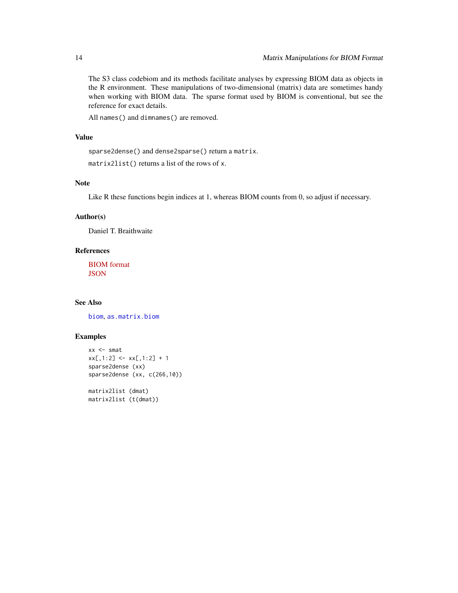The S3 class codebiom and its methods facilitate analyses by expressing BIOM data as objects in the R environment. These manipulations of two-dimensional (matrix) data are sometimes handy when working with BIOM data. The sparse format used by BIOM is conventional, but see the reference for exact details.

All names() and dimnames() are removed.

## Value

```
sparse2dense() and dense2sparse() return a matrix.
matrix2list() returns a list of the rows of x.
```
## Note

Like R these functions begin indices at 1, whereas BIOM counts from 0, so adjust if necessary.

## Author(s)

Daniel T. Braithwaite

## References

[BIOM format](http://wwww.biom-format.org) **[JSON](http://wwww.json.org)** 

#### See Also

[biom](#page-10-1), [as.matrix.biom](#page-7-1)

```
xx <- smat
xx[,1:2] <- xx[,1:2] + 1
sparse2dense (xx)
sparse2dense (xx, c(266,10))
matrix2list (dmat)
matrix2list (t(dmat))
```
<span id="page-13-0"></span>